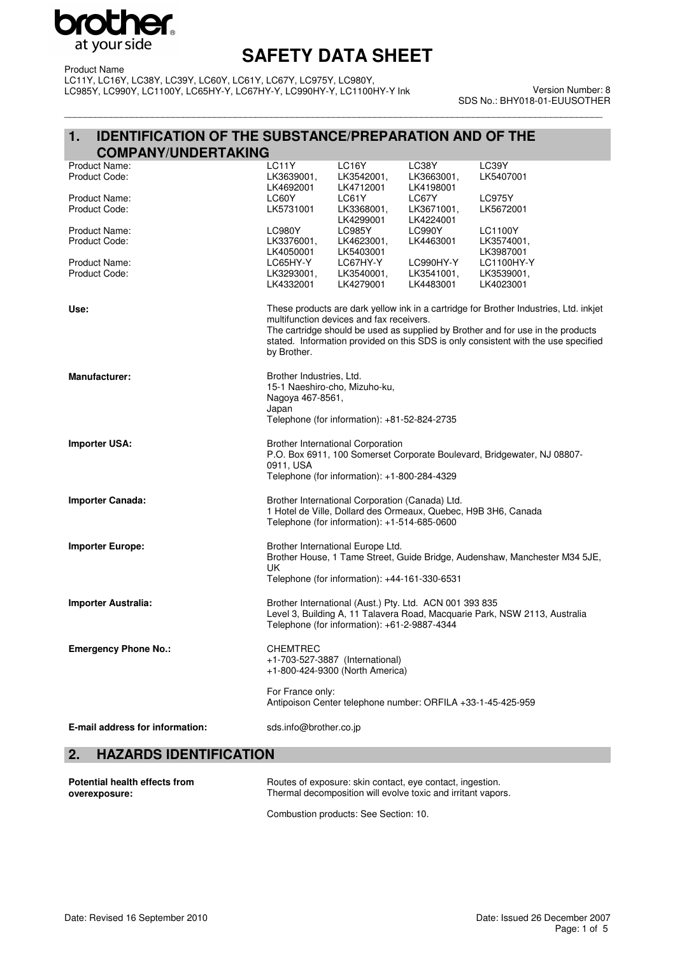

\_\_\_\_\_\_\_\_\_\_\_\_\_\_\_\_\_\_\_\_\_\_\_\_\_\_\_\_\_\_\_\_\_\_\_\_\_\_\_\_\_\_\_\_\_\_\_\_\_\_\_\_\_\_\_\_\_\_\_\_\_\_\_\_\_\_\_\_\_\_\_\_\_\_\_\_\_\_\_\_\_\_\_\_\_\_\_\_\_\_\_\_\_\_\_\_\_\_\_\_\_\_\_\_

Product Name LC11Y, LC16Y, LC38Y, LC39Y, LC60Y, LC61Y, LC67Y, LC975Y, LC980Y, LC985Y, LC990Y, LC1100Y, LC65HY-Y, LC67HY-Y, LC990HY-Y, LC1100HY-Y Ink

Version Number: 8 SDS No.: BHY018-01-EUUSOTHER

### **1. IDENTIFICATION OF THE SUBSTANCE/PREPARATION AND OF THE COMPANY/UNDERTAKING**

|                                |                                                            | +1-800-424-9300 (North America)                                                                 |                                                                |                                                                                                                                                                       |
|--------------------------------|------------------------------------------------------------|-------------------------------------------------------------------------------------------------|----------------------------------------------------------------|-----------------------------------------------------------------------------------------------------------------------------------------------------------------------|
| <b>Emergency Phone No.:</b>    | <b>CHEMTREC</b><br>+1-703-527-3887 (International)         |                                                                                                 |                                                                |                                                                                                                                                                       |
|                                |                                                            | Telephone (for information): +61-2-9887-4344                                                    |                                                                |                                                                                                                                                                       |
| Importer Australia:            |                                                            |                                                                                                 | Brother International (Aust.) Pty. Ltd. ACN 001 393 835        | Level 3, Building A, 11 Talavera Road, Macquarie Park, NSW 2113, Australia                                                                                            |
|                                | UK.                                                        | Telephone (for information): +44-161-330-6531                                                   |                                                                |                                                                                                                                                                       |
| <b>Importer Europe:</b>        |                                                            | Brother International Europe Ltd.                                                               |                                                                | Brother House, 1 Tame Street, Guide Bridge, Audenshaw, Manchester M34 5JE,                                                                                            |
| <b>Importer Canada:</b>        |                                                            | Brother International Corporation (Canada) Ltd.<br>Telephone (for information): +1-514-685-0600 | 1 Hotel de Ville, Dollard des Ormeaux, Quebec, H9B 3H6, Canada |                                                                                                                                                                       |
| <b>Importer USA:</b>           | 0911, USA                                                  | <b>Brother International Corporation</b><br>Telephone (for information): +1-800-284-4329        |                                                                | P.O. Box 6911, 100 Somerset Corporate Boulevard, Bridgewater, NJ 08807-                                                                                               |
|                                |                                                            | Telephone (for information): +81-52-824-2735                                                    |                                                                |                                                                                                                                                                       |
|                                | 15-1 Naeshiro-cho, Mizuho-ku,<br>Nagoya 467-8561,<br>Japan |                                                                                                 |                                                                |                                                                                                                                                                       |
| <b>Manufacturer:</b>           | Brother Industries, Ltd.                                   |                                                                                                 |                                                                |                                                                                                                                                                       |
|                                | by Brother.                                                |                                                                                                 |                                                                | The cartridge should be used as supplied by Brother and for use in the products<br>stated. Information provided on this SDS is only consistent with the use specified |
| Use:                           |                                                            | multifunction devices and fax receivers.                                                        |                                                                | These products are dark yellow ink in a cartridge for Brother Industries, Ltd. inkjet                                                                                 |
| Product Code:                  | LK3293001,<br>LK4332001                                    | LK3540001,<br>LK4279001                                                                         | LK3541001,<br>LK4483001                                        | LK3539001,<br>LK4023001                                                                                                                                               |
| Product Name:                  | LK4050001<br>LC65HY-Y                                      | LK5403001<br>LC67HY-Y                                                                           | LC990HY-Y                                                      | LK3574001,<br>LK3987001<br>LC1100HY-Y                                                                                                                                 |
| Product Name:<br>Product Code: | <b>LC980Y</b><br>LK3376001,                                | LK4299001<br><b>LC985Y</b><br>LK4623001,                                                        | LK4224001<br><b>LC990Y</b><br>LK4463001                        | <b>LC1100Y</b>                                                                                                                                                        |
| Product Name:<br>Product Code: | LC60Y<br>LK5731001                                         | LC61Y<br>LK3368001,                                                                             | LC67Y<br>LK3671001,                                            | <b>LC975Y</b><br>LK5672001                                                                                                                                            |
| Product Code:                  | LK3639001,<br>LK4692001                                    | LK3542001,<br>LK4712001                                                                         | LK3663001,<br>LK4198001                                        | LK5407001                                                                                                                                                             |
| Product Name:                  | LC11Y                                                      | LC16Y                                                                                           | LC38Y                                                          | LC39Y                                                                                                                                                                 |

**Potential health effects from overexposure:** Routes of exposure: skin contact, eye contact, ingestion. Thermal decomposition will evolve toxic and irritant vapors. Combustion products: See Section: 10.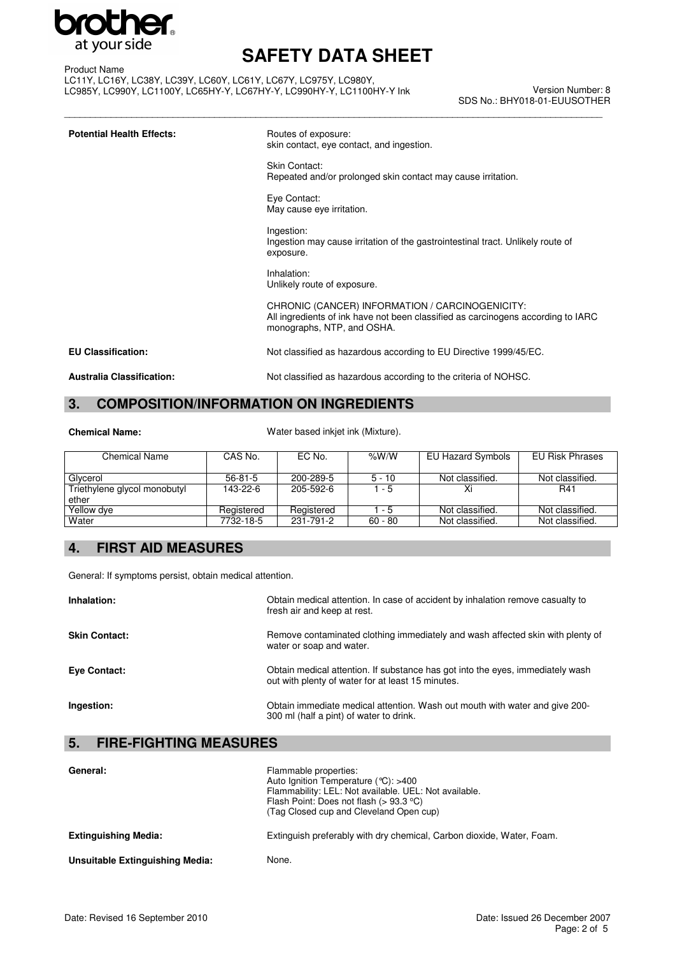

\_\_\_\_\_\_\_\_\_\_\_\_\_\_\_\_\_\_\_\_\_\_\_\_\_\_\_\_\_\_\_\_\_\_\_\_\_\_\_\_\_\_\_\_\_\_\_\_\_\_\_\_\_\_\_\_\_\_\_\_\_\_\_\_\_\_\_\_\_\_\_\_\_\_\_\_\_\_\_\_\_\_\_\_\_\_\_\_\_\_\_\_\_\_\_\_\_\_\_\_\_\_\_\_

Product Name LC11Y, LC16Y, LC38Y, LC39Y, LC60Y, LC61Y, LC67Y, LC975Y, LC980Y, LC985Y, LC990Y, LC1100Y, LC65HY-Y, LC67HY-Y, LC990HY-Y, LC1100HY-Y Ink

Version Number: 8 SDS No.: BHY018-01-EUUSOTHER

| <b>Potential Health Effects:</b> | Routes of exposure:<br>skin contact, eye contact, and ingestion.                                                                                                  |
|----------------------------------|-------------------------------------------------------------------------------------------------------------------------------------------------------------------|
|                                  | Skin Contact:<br>Repeated and/or prolonged skin contact may cause irritation.                                                                                     |
|                                  | Eye Contact:<br>May cause eye irritation.                                                                                                                         |
|                                  | Ingestion:<br>Ingestion may cause irritation of the gastrointestinal tract. Unlikely route of<br>exposure.                                                        |
|                                  | Inhalation:<br>Unlikely route of exposure.                                                                                                                        |
|                                  | CHRONIC (CANCER) INFORMATION / CARCINOGENICITY:<br>All ingredients of ink have not been classified as carcinogens according to IARC<br>monographs, NTP, and OSHA. |
| <b>EU Classification:</b>        | Not classified as hazardous according to EU Directive 1999/45/EC.                                                                                                 |
| <b>Australia Classification:</b> | Not classified as hazardous according to the criteria of NOHSC.                                                                                                   |

# **3. COMPOSITION/INFORMATION ON INGREDIENTS**

|  | <b>Chemical Name:</b> |
|--|-----------------------|
|  |                       |

Water based inkjet ink (Mixture).

| Chemical Name                | CAS No.    | EC No.     | %W/W      | EU Hazard Symbols | <b>EU Risk Phrases</b> |
|------------------------------|------------|------------|-----------|-------------------|------------------------|
|                              |            |            |           |                   |                        |
| Glycerol                     | $56-81-5$  | 200-289-5  | $5 - 10$  | Not classified.   | Not classified.        |
| Triethylene glycol monobutyl | 143-22-6   | 205-592-6  | $1 - 5$   |                   | R41                    |
| ether                        |            |            |           |                   |                        |
| Yellow dye                   | Registered | Registered | $1 - 5$   | Not classified.   | Not classified.        |
| Water                        | 7732-18-5  | 231-791-2  | $60 - 80$ | Not classified.   | Not classified.        |

# **4. FIRST AID MEASURES**

General: If symptoms persist, obtain medical attention.

| Inhalation:          | Obtain medical attention. In case of accident by inhalation remove casualty to<br>fresh air and keep at rest.                       |
|----------------------|-------------------------------------------------------------------------------------------------------------------------------------|
| <b>Skin Contact:</b> | Remove contaminated clothing immediately and wash affected skin with plenty of<br>water or soap and water.                          |
| <b>Eve Contact:</b>  | Obtain medical attention. If substance has got into the eyes, immediately wash<br>out with plenty of water for at least 15 minutes. |
| Ingestion:           | Obtain immediate medical attention. Wash out mouth with water and give 200-<br>300 ml (half a pint) of water to drink.              |

### **5. FIRE-FIGHTING MEASURES**

| General:                        | Flammable properties:<br>Auto Ignition Temperature ( $°C$ ): >400<br>Flammability: LEL: Not available. UEL: Not available.<br>Flash Point: Does not flash ( $> 93.3$ °C)<br>(Tag Closed cup and Cleveland Open cup) |
|---------------------------------|---------------------------------------------------------------------------------------------------------------------------------------------------------------------------------------------------------------------|
| <b>Extinguishing Media:</b>     | Extinguish preferably with dry chemical, Carbon dioxide, Water, Foam.                                                                                                                                               |
| Unsuitable Extinguishing Media: | None.                                                                                                                                                                                                               |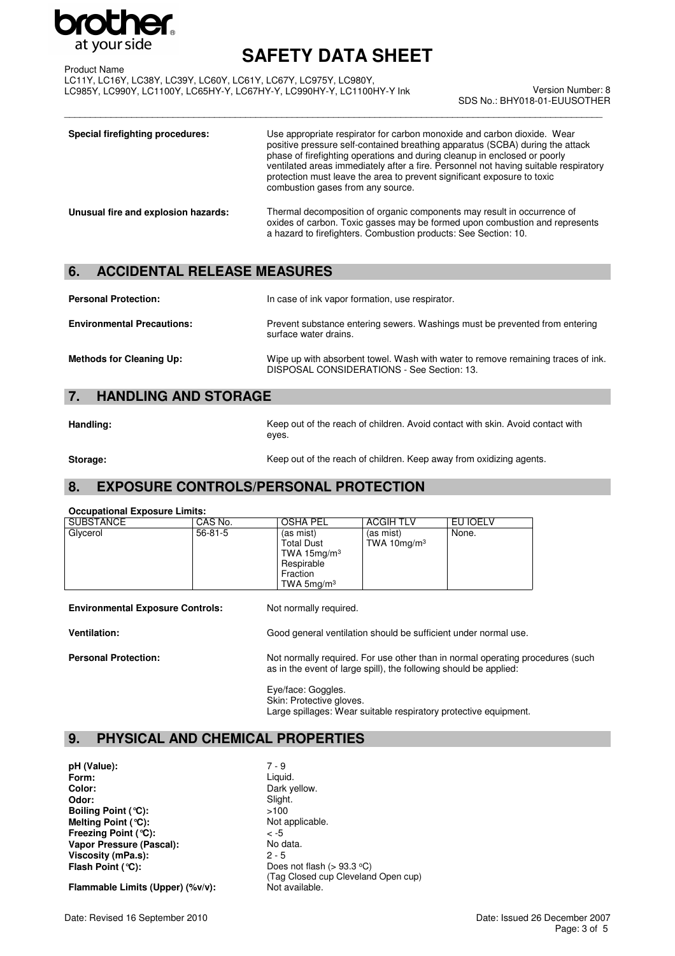

\_\_\_\_\_\_\_\_\_\_\_\_\_\_\_\_\_\_\_\_\_\_\_\_\_\_\_\_\_\_\_\_\_\_\_\_\_\_\_\_\_\_\_\_\_\_\_\_\_\_\_\_\_\_\_\_\_\_\_\_\_\_\_\_\_\_\_\_\_\_\_\_\_\_\_\_\_\_\_\_\_\_\_\_\_\_\_\_\_\_\_\_\_\_\_\_\_\_\_\_\_\_\_\_

Product Name LC11Y, LC16Y, LC38Y, LC39Y, LC60Y, LC61Y, LC67Y, LC975Y, LC980Y, LC985Y, LC990Y, LC1100Y, LC65HY-Y, LC67HY-Y, LC990HY-Y, LC1100HY-Y Ink

Version Number: 8 SDS No.: BHY018-01-EUUSOTHER

| Special firefighting procedures:    | Use appropriate respirator for carbon monoxide and carbon dioxide. Wear<br>positive pressure self-contained breathing apparatus (SCBA) during the attack<br>phase of firefighting operations and during cleanup in enclosed or poorly<br>ventilated areas immediately after a fire. Personnel not having suitable respiratory<br>protection must leave the area to prevent significant exposure to toxic<br>combustion gases from any source. |
|-------------------------------------|-----------------------------------------------------------------------------------------------------------------------------------------------------------------------------------------------------------------------------------------------------------------------------------------------------------------------------------------------------------------------------------------------------------------------------------------------|
| Unusual fire and explosion hazards: | Thermal decomposition of organic components may result in occurrence of<br>oxides of carbon. Toxic gasses may be formed upon combustion and represents<br>a hazard to firefighters. Combustion products: See Section: 10.                                                                                                                                                                                                                     |

# **6. ACCIDENTAL RELEASE MEASURES**

| <b>Personal Protection:</b>       | In case of ink vapor formation, use respirator.                                                                                |
|-----------------------------------|--------------------------------------------------------------------------------------------------------------------------------|
| <b>Environmental Precautions:</b> | Prevent substance entering sewers. Washings must be prevented from entering<br>surface water drains.                           |
| <b>Methods for Cleaning Up:</b>   | Wipe up with absorbent towel. Wash with water to remove remaining traces of ink.<br>DISPOSAL CONSIDERATIONS - See Section: 13. |

## **7. HANDLING AND STORAGE**

**Handling:** Keep out of the reach of children. Avoid contact with skin. Avoid contact with eyes.

**Storage: Keep out of the reach of children. Keep away from oxidizing agents.** 

### **8. EXPOSURE CONTROLS/PERSONAL PROTECTION**

#### **Occupational Exposure Limits:**

| <b>SUBSTANCE</b> | CAS No.       | <b>OSHA PEL</b>                                                                     | <b>ACGIH TLV</b>            | EU IOELV |  |
|------------------|---------------|-------------------------------------------------------------------------------------|-----------------------------|----------|--|
| Glycerol         | $56 - 81 - 5$ | (as mist)<br>Total Dust<br>TWA 15 $mg/m3$<br>Respirable<br>Fraction<br>TWA $5mq/m3$ | (as mist)<br>TWA 10 $mq/m3$ | None.    |  |

**Environmental Exposure Controls:** Not normally required.

**Ventilation:** Good general ventilation should be sufficient under normal use. **Personal Protection:** Not normally required. For use other than in normal operating procedures (such

as in the event of large spill), the following should be applied:

Eye/face: Goggles. Skin: Protective gloves. Large spillages: Wear suitable respiratory protective equipment.

### **9. PHYSICAL AND CHEMICAL PROPERTIES**

**pH (Value):** 7 - 9<br>**Form:** Liqui **Form:** Liquid.<br> **Color:** Dark v **Color:** Dark yellow.<br> **Dark yellow.**<br> **Color:** Slight. **Boiling Point (°C):**  $\longrightarrow$  5100<br>**Melting Point (°C):** Not applicable. **Melting Point (°C): Freezing Point (°C):**  $\left( -5 \right)$  < -5<br> **Vapor Pressure (Pascal):** No data. **Vapor Pressure (Pascal): Viscosity (mPa.s):** 2 - 5<br> **Flash Point (°C):** Does

Slight.<br>>100 Does not flash (> 93.3 °C) (Tag Closed cup Cleveland Open cup)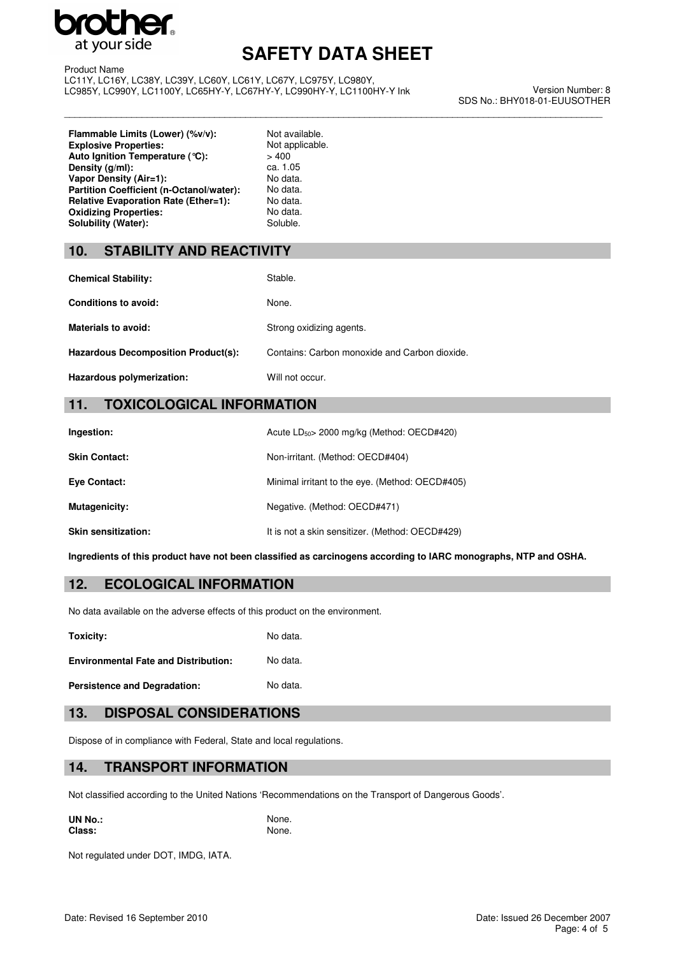

\_\_\_\_\_\_\_\_\_\_\_\_\_\_\_\_\_\_\_\_\_\_\_\_\_\_\_\_\_\_\_\_\_\_\_\_\_\_\_\_\_\_\_\_\_\_\_\_\_\_\_\_\_\_\_\_\_\_\_\_\_\_\_\_\_\_\_\_\_\_\_\_\_\_\_\_\_\_\_\_\_\_\_\_\_\_\_\_\_\_\_\_\_\_\_\_\_\_\_\_\_\_\_\_

Product Name LC11Y, LC16Y, LC38Y, LC39Y, LC60Y, LC61Y, LC67Y, LC975Y, LC980Y, LC985Y, LC990Y, LC1100Y, LC65HY-Y, LC67HY-Y, LC990HY-Y, LC1100HY-Y Ink

Version Number: 8 SDS No.: BHY018-01-EUUSOTHER

**Flammable Limits (Lower) (%v/v):** Not available.<br> **Explosive Properties:** Not applicable. **Explosive Properties:** Not applicable **Not applicable.** Not applicable. Not applicable. **Auto Ignition Temperature (°C):**  $> 400$ <br>**Density (g/ml):** ca. 1.05 **Density (g/ml):** ca. 1.05<br> **Vapor Density (Air=1):** No data. **Vapor Density (Air=1): Partition Coefficient (n-Octanol/water):** No data.<br> **Relative Evaporation Rate (Ether=1):** No data. **Relative Evaporation Rate (Ether=1): Oxidizing Properties:** No data.<br> **Solubility (Water):** Soluble. Soluble. Solubility (Water):

### **10. STABILITY AND REACTIVITY**

| <b>Chemical Stability:</b>          | Stable.                                       |
|-------------------------------------|-----------------------------------------------|
| Conditions to avoid:                | None.                                         |
| <b>Materials to avoid:</b>          | Strong oxidizing agents.                      |
| Hazardous Decomposition Product(s): | Contains: Carbon monoxide and Carbon dioxide. |
| Hazardous polymerization:           | Will not occur.                               |

### **11. TOXICOLOGICAL INFORMATION**

| Ingestion:                 | Acute $LD_{50}$ 2000 mg/kg (Method: OECD#420)   |
|----------------------------|-------------------------------------------------|
| <b>Skin Contact:</b>       | Non-irritant. (Method: OECD#404)                |
| Eye Contact:               | Minimal irritant to the eye. (Method: OECD#405) |
| Mutagenicity:              | Negative. (Method: OECD#471)                    |
| <b>Skin sensitization:</b> | It is not a skin sensitizer. (Method: OECD#429) |

**Ingredients of this product have not been classified as carcinogens according to IARC monographs, NTP and OSHA.**

#### **12. ECOLOGICAL INFORMATION**

No data available on the adverse effects of this product on the environment.

**Toxicity:** No data.

**Environmental Fate and Distribution:** No data.

Persistence and Degradation: No data.

#### **13. DISPOSAL CONSIDERATIONS**

Dispose of in compliance with Federal, State and local regulations.

#### **14. TRANSPORT INFORMATION**

Not classified according to the United Nations 'Recommendations on the Transport of Dangerous Goods'.

**UN No.:** None.<br> **Class:** None. None. **Class:** 

Not regulated under DOT, IMDG, IATA.